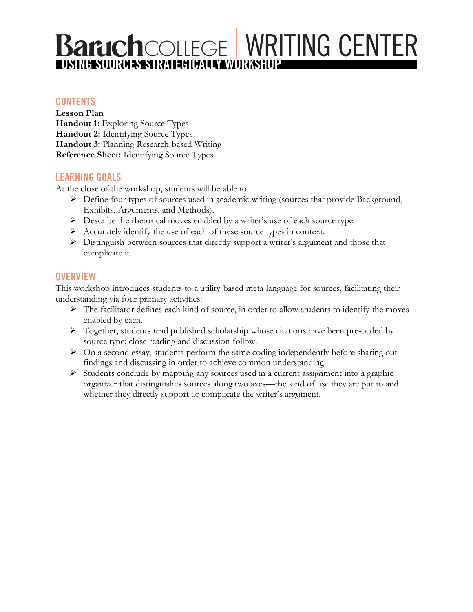# **Baruch**COLLEGE WRITING CENTER

## **CONTENTS**

**Lesson Plan Handout 1:** Exploring Source Types **Handout 2:** Identifying Source Types **Handout 3:** Planning Research-based Writing **Reference Sheet:** Identifying Source Types

## **LEARNING GOALS**

At the close of the workshop, students will be able to:

- Ø Define four types of sources used in academic writing (sources that provide Background, Exhibits, Arguments, and Methods).
- $\triangleright$  Describe the rhetorical moves enabled by a writer's use of each source type.
- Ø Accurately identify the use of each of these source types in context.
- $\triangleright$  Distinguish between sources that directly support a writer's argument and those that complicate it.

## **OVERVIEW**

This workshop introduces students to a utility-based meta-language for sources, facilitating their understanding via four primary activities:

- $\triangleright$  The facilitator defines each kind of source, in order to allow students to identify the moves enabled by each.
- $\triangleright$  Together, students read published scholarship whose citations have been pre-coded by source type; close reading and discussion follow.
- $\triangleright$  On a second essay, students perform the same coding independently before sharing out findings and discussing in order to achieve common understanding.
- $\triangleright$  Students conclude by mapping any sources used in a current assignment into a graphic organizer that distinguishes sources along two axes—the kind of use they are put to and whether they directly support or complicate the writer's argument.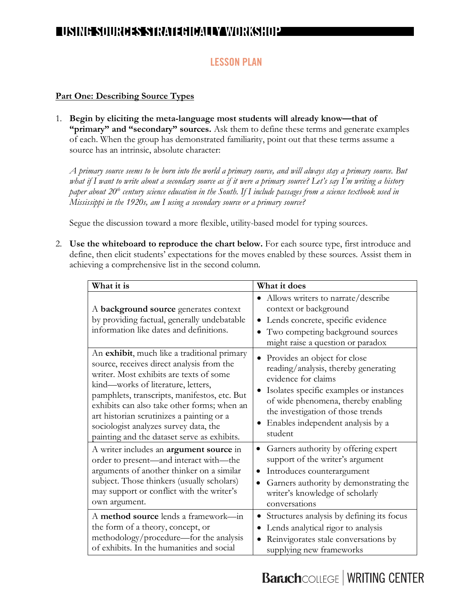## **LESSON PLAN**

#### **Part One: Describing Source Types**

1. **Begin by eliciting the meta-language most students will already know—that of "primary" and "secondary" sources.** Ask them to define these terms and generate examples of each. When the group has demonstrated familiarity, point out that these terms assume a source has an intrinsic, absolute character:

*A primary source seems to be born into the world a primary source, and will always stay a primary source. But what if I want to write about a secondary source as if it were a primary source? Let's say I'm writing a history paper about 20th century science education in the South. If I include passages from a science textbook used in Mississippi in the 1920s, am I using a secondary source or a primary source?* 

Segue the discussion toward a more flexible, utility-based model for typing sources.

2. **Use the whiteboard to reproduce the chart below.** For each source type, first introduce and define, then elicit students' expectations for the moves enabled by these sources. Assist them in achieving a comprehensive list in the second column.

| What it is                                                                                                                                                                                                                                                                                                                                                                                                    | What it does                                                                                                                                                                                                                                                                                 |
|---------------------------------------------------------------------------------------------------------------------------------------------------------------------------------------------------------------------------------------------------------------------------------------------------------------------------------------------------------------------------------------------------------------|----------------------------------------------------------------------------------------------------------------------------------------------------------------------------------------------------------------------------------------------------------------------------------------------|
| A background source generates context<br>by providing factual, generally undebatable<br>information like dates and definitions.                                                                                                                                                                                                                                                                               | Allows writers to narrate/describe<br>context or background<br>Lends concrete, specific evidence<br>$\bullet$<br>Two competing background sources<br>might raise a question or paradox                                                                                                       |
| An exhibit, much like a traditional primary<br>source, receives direct analysis from the<br>writer. Most exhibits are texts of some<br>kind-works of literature, letters,<br>pamphlets, transcripts, manifestos, etc. But<br>exhibits can also take other forms; when an<br>art historian scrutinizes a painting or a<br>sociologist analyzes survey data, the<br>painting and the dataset serve as exhibits. | Provides an object for close<br>reading/analysis, thereby generating<br>evidence for claims<br>Isolates specific examples or instances<br>$\bullet$<br>of wide phenomena, thereby enabling<br>the investigation of those trends<br>Enables independent analysis by a<br>$\bullet$<br>student |
| A writer includes an argument source in<br>order to present—and interact with—the<br>arguments of another thinker on a similar<br>subject. Those thinkers (usually scholars)<br>may support or conflict with the writer's<br>own argument.                                                                                                                                                                    | Garners authority by offering expert<br>$\bullet$<br>support of the writer's argument<br>Introduces counterargument<br>$\bullet$<br>Garners authority by demonstrating the<br>writer's knowledge of scholarly<br>conversations                                                               |
| A method source lends a framework—in<br>the form of a theory, concept, or<br>methodology/procedure—for the analysis<br>of exhibits. In the humanities and social                                                                                                                                                                                                                                              | • Structures analysis by defining its focus<br>Lends analytical rigor to analysis<br>$\bullet$<br>Reinvigorates stale conversations by<br>supplying new frameworks                                                                                                                           |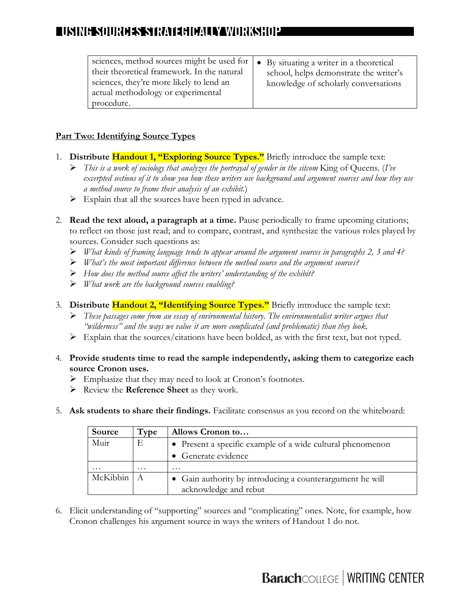| sciences, method sources might be used for $  \bullet \text{ By situation a writer in a theoretical}$<br>their theoretical framework. In the natural<br>sciences, they're more likely to lend an<br>actual methodology or experimental | school, helps demonstrate the writer's<br>knowledge of scholarly conversations |
|----------------------------------------------------------------------------------------------------------------------------------------------------------------------------------------------------------------------------------------|--------------------------------------------------------------------------------|
| procedure.                                                                                                                                                                                                                             |                                                                                |

### **Part Two: Identifying Source Types**

- 1. **Distribute Handout 1, "Exploring Source Types."** Briefly introduce the sample text:
	- Ø *This is a work of sociology that analyzes the portrayal of gender in the sitcom* King of Queens. (*I've excerpted sections of it to show you how these writers use background and argument sources and how they use a method source to frame their analysis of an exhibit.*)
	- $\triangleright$  Explain that all the sources have been typed in advance.
- 2. **Read the text aloud, a paragraph at a time.** Pause periodically to frame upcoming citations; to reflect on those just read; and to compare, contrast, and synthesize the various roles played by sources. Consider such questions as:
	- Ø *What kinds of framing language tends to appear around the argument sources in paragraphs 2, 3 and 4?*
	- Ø *What's the most important difference between the method source and the argument sources?*
	- Ø *How does the method source affect the writers' understanding of the exhibit?*
	- Ø *What work are the background sources enabling?*
- 3. **Distribute Handout 2, "Identifying Source Types."** Briefly introduce the sample text:
	- Ø *These passages come from an essay of environmental history. The environmentalist writer argues that "wilderness" and the ways we value it are more complicated (and problematic) than they look.*
	- $\triangleright$  Explain that the sources/citations have been bolded, as with the first text, but not typed.
- 4. **Provide students time to read the sample independently, asking them to categorize each source Cronon uses.**
	- $\triangleright$  Emphasize that they may need to look at Cronon's footnotes.
	- Ø Review the **Reference Sheet** as they work.
- 5. **Ask students to share their findings.** Facilitate consensus as you record on the whiteboard:

| Source       | Type     | Allows Cronon to                                                                   |
|--------------|----------|------------------------------------------------------------------------------------|
| Muir         | E        | • Present a specific example of a wide cultural phenomenon                         |
|              |          | • Generate evidence                                                                |
| $\cdots$     | $\cdots$ | $\cdots$                                                                           |
| McKibbin   A |          | • Gain authority by introducing a counterargument he will<br>acknowledge and rebut |

6. Elicit understanding of "supporting" sources and "complicating" ones. Note, for example, how Cronon challenges his argument source in ways the writers of Handout 1 do not.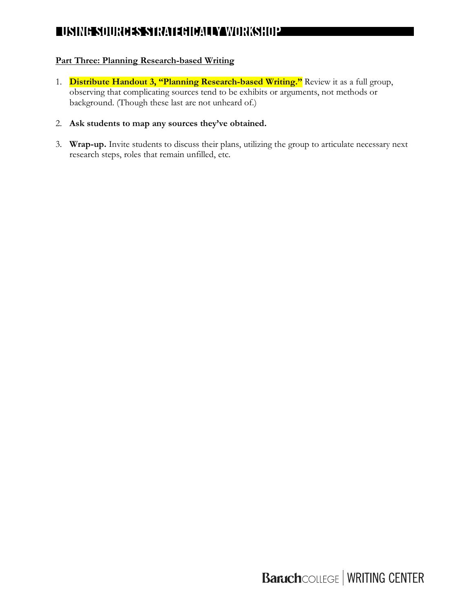### **Part Three: Planning Research-based Writing**

- 1. **Distribute Handout 3, "Planning Research-based Writing."** Review it as a full group, observing that complicating sources tend to be exhibits or arguments, not methods or background. (Though these last are not unheard of.)
- 2. **Ask students to map any sources they've obtained.**
- 3. **Wrap-up.** Invite students to discuss their plans, utilizing the group to articulate necessary next research steps, roles that remain unfilled, etc.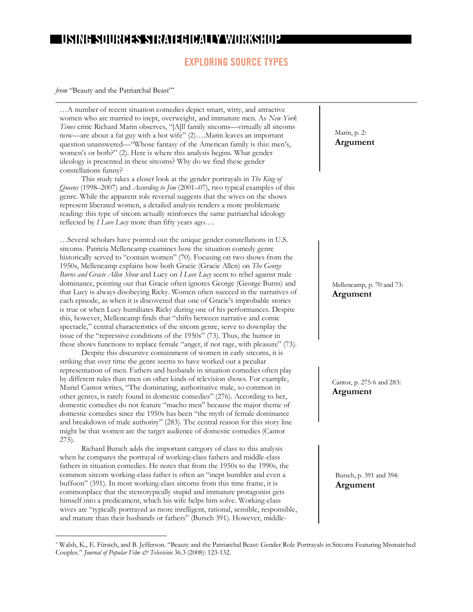## **EXPLORING SOURCE TYPES**

*from* "Beauty and the Patriarchal Beast"\*

…A number of recent situation comedies depict smart, witty, and attractive women who are married to inept, overweight, and immature men. As *New York Times* critic Richard Marin observes, "[A]ll family sitcoms—virtually all sitcoms now—are about a fat guy with a hot wife" (2)….Marin leaves an important question unanswered—"Whose fantasy of the American family is this: men's, women's or both?" (2). Here is where this analysis begins. What gender ideology is presented in these sitcoms? Why do we find these gender constellations funny?

This study takes a closer look at the gender portrayals in *The King of Queens* (1998–2007) and *According to Jim* (2001–07), two typical examples of this genre. While the apparent role reversal suggests that the wives on the shows represent liberated women, a detailed analysis renders a more problematic reading: this type of sitcom actually reinforces the same patriarchal ideology reflected by *I Love Lucy* more than fifty years ago….

…Several scholars have pointed out the unique gender constellations in U.S. sitcoms. Patricia Mellencamp examines how the situation comedy genre historically served to "contain women" (70). Focusing on two shows from the 1950s, Mellencamp explains how both Gracie (Gracie Allen) on *The George Burns and Gracie Allen Show* and Lucy on *I Love Lucy* seem to rebel against male dominance, pointing out that Gracie often ignores George (George Burns) and that Lucy is always disobeying Ricky. Women often succeed in the narratives of each episode, as when it is discovered that one of Gracie's improbable stories is true or when Lucy humiliates Ricky during one of his performances. Despite this, however, Mellencamp finds that "shifts between narrative and comic spectacle," central characteristics of the sitcom genre, serve to downplay the issue of the "repressive conditions of the 1950s" (73). Thus, the humor in these shows functions to replace female "anger, if not rage, with pleasure" (73).

Despite this discursive containment of women in early sitcoms, it is striking that over time the genre seems to have worked out a peculiar representation of men. Fathers and husbands in situation comedies often play by different rules than men on other kinds of television shows. For example, Muriel Cantor writes, "The dominating, authoritative male, so common in other genres, is rarely found in domestic comedies" (276). According to her, domestic comedies do not feature "macho men" because the major theme of domestic comedies since the 1950s has been "the myth of female dominance and breakdown of male authority" (283). The central reason for this story line might be that women are the target audience of domestic comedies (Cantor 275).

Richard Butsch adds the important category of class to this analysis when he compares the portrayal of working-class fathers and middle-class fathers in situation comedies. He notes that from the 1950s to the 1990s, the common sitcom working-class father is often an "inept bumbler and even a buffoon" (391). In most working-class sitcoms from this time frame, it is commonplace that the stereotypically stupid and immature protagonist gets himself into a predicament, which his wife helps him solve. Working-class wives are "typically portrayed as more intelligent, rational, sensible, responsible, and mature than their husbands or fathers" (Butsch 391). However, middleMarin, p. 2: **Argument**

Mellencamp, p. 70 and 73: **Argument**

Cantor, p. 275-6 and 283: **Argument**

Butsch, p. 391 and 394: **Argument**

 <sup>\*</sup> Walsh, K., E. Fürsich, and B. Jefferson. "Beauty and the Patriarchal Beast: Gender Role Portrayals in Sitcoms Featuring Mismatched Couples." *Journal of Popular Film & Television* 36.3 (2008): 123-132.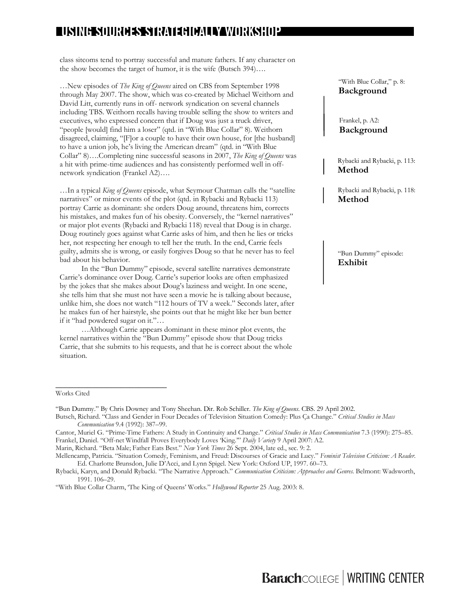class sitcoms tend to portray successful and mature fathers. If any character on the show becomes the target of humor, it is the wife (Butsch 394)….

…New episodes of *The King of Queens* aired on CBS from September 1998 through May 2007. The show, which was co-created by Michael Weithorn and David Litt, currently runs in off- network syndication on several channels including TBS. Weithorn recalls having trouble selling the show to writers and executives, who expressed concern that if Doug was just a truck driver, "people [would] find him a loser" (qtd. in "With Blue Collar" 8). Weithorn disagreed, claiming, "[F]or a couple to have their own house, for [the husband] to have a union job, he's living the American dream" (qtd. in "With Blue Collar" 8)….Completing nine successful seasons in 2007, *The King of Queens* was a hit with prime-time audiences and has consistently performed well in offnetwork syndication (Frankel A2)….

…In a typical *King of Queens* episode, what Seymour Chatman calls the "satellite narratives" or minor events of the plot (qtd. in Rybacki and Rybacki 113) portray Carrie as dominant: she orders Doug around, threatens him, corrects his mistakes, and makes fun of his obesity. Conversely, the "kernel narratives" or major plot events (Rybacki and Rybacki 118) reveal that Doug is in charge. Doug routinely goes against what Carrie asks of him, and then he lies or tricks her, not respecting her enough to tell her the truth. In the end, Carrie feels guilty, admits she is wrong, or easily forgives Doug so that he never has to feel bad about his behavior.

In the "Bun Dummy" episode, several satellite narratives demonstrate Carrie's dominance over Doug. Carrie's superior looks are often emphasized by the jokes that she makes about Doug's laziness and weight. In one scene, she tells him that she must not have seen a movie he is talking about because, unlike him, she does not watch "112 hours of TV a week." Seconds later, after he makes fun of her hairstyle, she points out that he might like her bun better if it "had powdered sugar on it."…

…Although Carrie appears dominant in these minor plot events, the kernel narratives within the "Bun Dummy" episode show that Doug tricks Carrie, that she submits to his requests, and that he is correct about the whole situation.

"With Blue Collar," p. 8: **Background**

Frankel, p. A2: **Background**

Rybacki and Rybacki, p. 113: **Method**

Rybacki and Rybacki, p. 118: **Method**

"Bun Dummy" episode: **Exhibit**

#### Works Cited

 $\overline{\phantom{a}}$  , where  $\overline{\phantom{a}}$  , where  $\overline{\phantom{a}}$  , where  $\overline{\phantom{a}}$ 

<sup>&</sup>quot;Bun Dummy." By Chris Downey and Tony Sheehan. Dir. Rob Schiller. *The King of Queens*. CBS. 29 April 2002.

Butsch, Richard. "Class and Gender in Four Decades of Television Situation Comedy: Plus Ça Change." *Critical Studies in Mass Communication* 9.4 (1992): 387–99.

Cantor, Muriel G. "Prime-Time Fathers: A Study in Continuity and Change." *Critical Studies in Mass Communication* 7.3 (1990): 275–85. Frankel, Daniel. "Off-net Windfall Proves Everybody Loves 'King.'" *Daily Variety* 9 April 2007: A2.

Marin, Richard. "Beta Male; Father Eats Best." *New York Times* 26 Sept. 2004, late ed., sec. 9: 2.

Mellencamp, Patricia. "Situation Comedy, Feminism, and Freud: Discourses of Gracie and Lucy." *Feminist Television Criticism: A Reader.*  Ed. Charlotte Brunsdon, Julie D'Acci, and Lynn Spigel. New York: Oxford UP, 1997. 60–73.

Rybacki, Karyn, and Donald Rybacki. "The Narrative Approach." *Communication Criticism: Approaches and Genres.* Belmont: Wadsworth, 1991. 106–29.

<sup>&</sup>quot;With Blue Collar Charm, 'The King of Queens' Works." *Hollywood Reporter* 25 Aug. 2003: 8.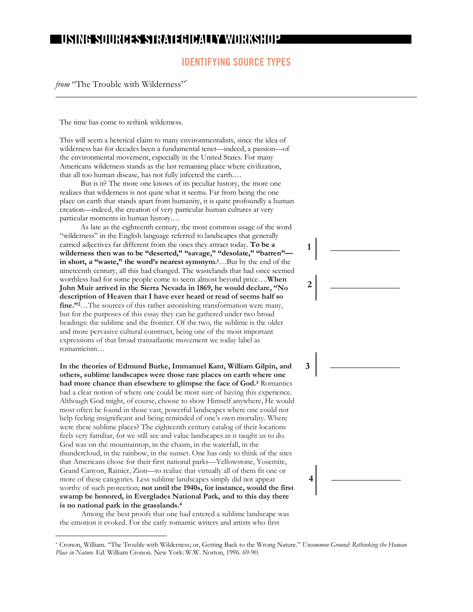### **IDENTIFYING SOURCE TYPES**

*from* "The Trouble with Wilderness"\*

The time has come to rethink wilderness.

This will seem a heretical claim to many environmentalists, since the idea of wilderness has for decades been a fundamental tenet—indeed, a passion—of the environmental movement, especially in the United States. For many Americans wilderness stands as the last remaining place where civilization, that all too human disease, has not fully infected the earth.…

But is it? The more one knows of its peculiar history, the more one realizes that wilderness is not quite what it seems. Far from being the one place on earth that stands apart from humanity, it is quite profoundly a human creation—indeed, the creation of very particular human cultures at very particular moments in human history.…

As late as the eighteenth century, the most common usage of the word "wilderness" in the English language referred to landscapes that generally carried adjectives far different from the ones they attract today. **To be a wilderness then was to be "deserted," "savage," "desolate," "barren" in short, a "waste," the word's nearest synonym.1**…But by the end of the nineteenth century, all this had changed. The wastelands that had once seemed worthless had for some people come to seem almost beyond price….**When John Muir arrived in the Sierra Nevada in 1869, he would declare, "No description of Heaven that I have ever heard or read of seems half so**  fine."<sup>2</sup>...The sources of this rather astonishing transformation were many, but for the purposes of this essay they can be gathered under two broad headings: the sublime and the frontier. Of the two, the sublime is the older and more pervasive cultural construct, being one of the most important expressions of that broad transatlantic movement we today label as romanticism…

**In the theories of Edmund Burke, Immanuel Kant, William Gilpin, and others, sublime landscapes were those rare places on earth where one had more chance than elsewhere to glimpse the face of God.3** Romantics had a clear notion of where one could be most sure of having this experience. Although God might, of course, choose to show Himself anywhere, He would most often be found in those vast, powerful landscapes where one could not help feeling insignificant and being reminded of one's own mortality. Where were these sublime places? The eighteenth century catalog of their locations feels very familiar, for we still see and value landscapes as it taught us to do. God was on the mountaintop, in the chasm, in the waterfall, in the thundercloud, in the rainbow, in the sunset. One has only to think of the sites that Americans chose for their first national parks—Yellowstone, Yosemite, Grand Canyon, Rainier, Zion—to realize that virtually all of them fit one or more of these categories. Less sublime landscapes simply did not appear worthy of such protection; **not until the 1940s, for instance, would the first swamp be honored, in Everglades National Park, and to this day there is no national park in the grasslands.4**

Among the best proofs that one had entered a sublime landscape was the emotion it evoked. For the early romantic writers and artists who first

**1 \_\_\_\_\_\_\_\_\_\_\_\_\_\_\_**

**\_\_\_\_\_\_\_\_\_\_\_\_\_\_\_ 3 2 \_\_\_\_\_\_\_\_\_\_\_\_\_\_\_ 4 \_\_\_\_\_\_\_\_\_\_\_\_\_\_\_**

 <sup>\*</sup> Cronon, William. "The Trouble with Wilderness; or, Getting Back to the Wrong Nature." *Uncommon Ground: Rethinking the Human Place in Nature.* Ed. William Cronon. New York: W.W. Norton, 1996. 69-90.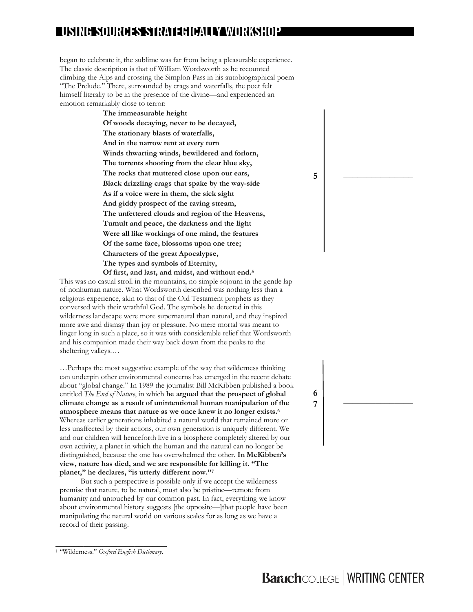began to celebrate it, the sublime was far from being a pleasurable experience. The classic description is that of William Wordsworth as he recounted climbing the Alps and crossing the Simplon Pass in his autobiographical poem "The Prelude." There, surrounded by crags and waterfalls, the poet felt himself literally to be in the presence of the divine—and experienced an emotion remarkably close to terror:

> **The immeasurable height Of woods decaying, never to be decayed, The stationary blasts of waterfalls, And in the narrow rent at every turn Winds thwarting winds, bewildered and forlorn, The torrents shooting from the clear blue sky, The rocks that muttered close upon our ears, Black drizzling crags that spake by the way-side As if a voice were in them, the sick sight And giddy prospect of the raving stream, The unfettered clouds and region of the Heavens, Tumult and peace, the darkness and the light Were all like workings of one mind, the features Of the same face, blossoms upon one tree; Characters of the great Apocalypse, The types and symbols of Eternity, Of first, and last, and midst, and without end.5**

This was no casual stroll in the mountains, no simple sojourn in the gentle lap of nonhuman nature. What Wordsworth described was nothing less than a religious experience, akin to that of the Old Testament prophets as they conversed with their wrathful God. The symbols he detected in this wilderness landscape were more supernatural than natural, and they inspired more awe and dismay than joy or pleasure. No mere mortal was meant to linger long in such a place, so it was with considerable relief that Wordsworth and his companion made their way back down from the peaks to the sheltering valleys.…

…Perhaps the most suggestive example of the way that wilderness thinking can underpin other environmental concerns has emerged in the recent debate about "global change." In 1989 the journalist Bill McKibben published a book entitled *The End of Nature*, in which **he argued that the prospect of global climate change as a result of unintentional human manipulation of the atmosphere means that nature as we once knew it no longer exists.6** Whereas earlier generations inhabited a natural world that remained more or less unaffected by their actions, our own generation is uniquely different. We and our children will henceforth live in a biosphere completely altered by our own activity, a planet in which the human and the natural can no longer be distinguished, because the one has overwhelmed the other. **In McKibben's view, nature has died, and we are responsible for killing it. "The planet," he declares, "is utterly different now."7**

But such a perspective is possible only if we accept the wilderness premise that nature, to be natural, must also be pristine—remote from humanity and untouched by our common past. In fact, everything we know about environmental history suggests [the opposite—]that people have been manipulating the natural world on various scales for as long as we have a record of their passing.

**5**

**\_\_\_\_\_\_\_\_\_\_\_\_\_\_\_**

**\_\_\_\_\_\_\_\_\_\_\_\_\_\_\_**

**6 7**

 $\overline{\phantom{a}}$  , where  $\overline{\phantom{a}}$  , where  $\overline{\phantom{a}}$  , where  $\overline{\phantom{a}}$ <sup>1</sup> "Wilderness." *Oxford English Dictionary*.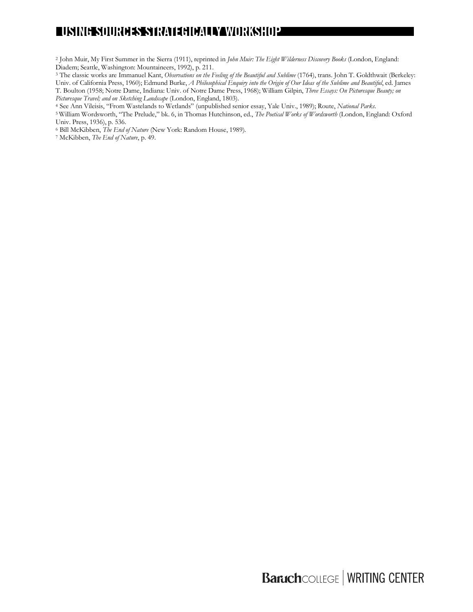<sup>2</sup> John Muir, My First Summer in the Sierra (1911), reprinted in *John Muir: The Eight Wilderness Discovery Books* (London, England: Diadem; Seattle, Washington: Mountaineers, 1992), p. 211.

<sup>3</sup> The classic works are Immanuel Kant, *Observations on the Feeling of the Beautiful and Sublime* (1764), trans. John T. Goldthwait (Berkeley: Univ. of California Press, 1960); Edmund Burke, *A Philosophical Enquiry into the Origin of Our Ideas of the Sublime and Beautiful*, ed. James T. Boulton (1958; Notre Dame, Indiana: Univ. of Notre Dame Press, 1968); William Gilpin, *Three Essays: On Picturesque Beauty; on* 

*Picturesque Travel; and on Sketching Landscape* (London, England, 1803).

<sup>4</sup> See Ann Vileisis, "From Wastelands to Wetlands" (unpublished senior essay, Yale Univ., 1989); Route, *National Parks*.

5 William Wordsworth, "The Prelude," bk. 6, in Thomas Hutchinson, ed., *The Poetical Works of Wordsworth* (London, England: Oxford Univ. Press, 1936), p. 536.

<sup>6</sup> Bill McKibben, *The End of Nature* (New York: Random House, 1989).

<sup>7</sup> McKibben, *The End of Nature*, p. 49.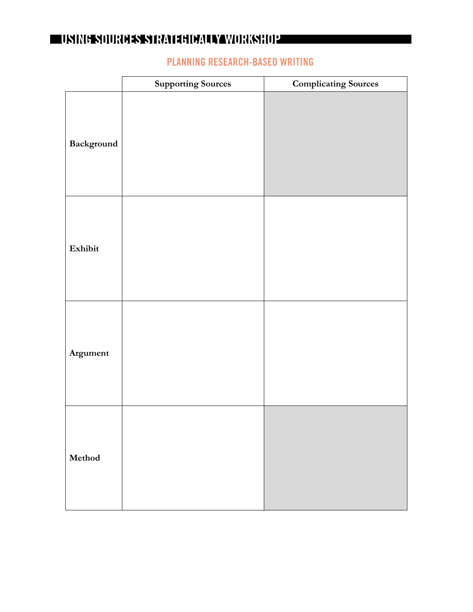## **PLANNING RESEARCH-BASED WRITING**

|            | <b>Supporting Sources</b> | <b>Complicating Sources</b> |
|------------|---------------------------|-----------------------------|
| Background |                           |                             |
| Exhibit    |                           |                             |
| Argument   |                           |                             |
| Method     |                           |                             |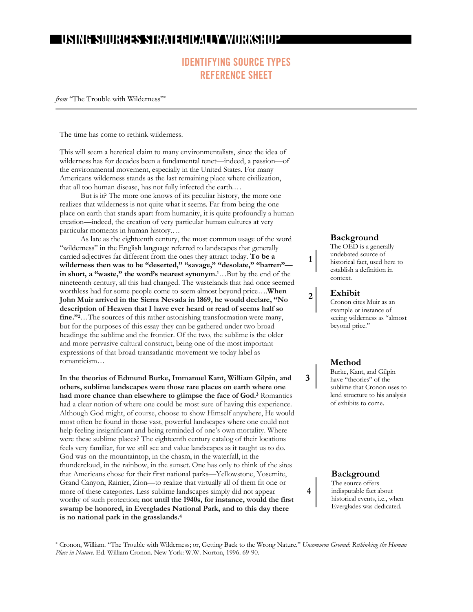## **IDENTIFYING SOURCE TYPES REFERENCE SHEET**

*from* "The Trouble with Wilderness"\*

The time has come to rethink wilderness.

This will seem a heretical claim to many environmentalists, since the idea of wilderness has for decades been a fundamental tenet—indeed, a passion—of the environmental movement, especially in the United States. For many Americans wilderness stands as the last remaining place where civilization, that all too human disease, has not fully infected the earth.…

But is it? The more one knows of its peculiar history, the more one realizes that wilderness is not quite what it seems. Far from being the one place on earth that stands apart from humanity, it is quite profoundly a human creation—indeed, the creation of very particular human cultures at very particular moments in human history.…

As late as the eighteenth century, the most common usage of the word "wilderness" in the English language referred to landscapes that generally carried adjectives far different from the ones they attract today. **To be a wilderness then was to be "deserted," "savage," "desolate," "barren" in short, a "waste," the word's nearest synonym.1**…But by the end of the nineteenth century, all this had changed. The wastelands that had once seemed worthless had for some people come to seem almost beyond price….**When John Muir arrived in the Sierra Nevada in 1869, he would declare, "No description of Heaven that I have ever heard or read of seems half so fine."2**…The sources of this rather astonishing transformation were many, but for the purposes of this essay they can be gathered under two broad headings: the sublime and the frontier. Of the two, the sublime is the older and more pervasive cultural construct, being one of the most important expressions of that broad transatlantic movement we today label as romanticism…

**In the theories of Edmund Burke, Immanuel Kant, William Gilpin, and others, sublime landscapes were those rare places on earth where one had more chance than elsewhere to glimpse the face of God.3** Romantics had a clear notion of where one could be most sure of having this experience. Although God might, of course, choose to show Himself anywhere, He would most often be found in those vast, powerful landscapes where one could not help feeling insignificant and being reminded of one's own mortality. Where were these sublime places? The eighteenth century catalog of their locations feels very familiar, for we still see and value landscapes as it taught us to do. God was on the mountaintop, in the chasm, in the waterfall, in the thundercloud, in the rainbow, in the sunset. One has only to think of the sites that Americans chose for their first national parks—Yellowstone, Yosemite, Grand Canyon, Rainier, Zion—to realize that virtually all of them fit one or more of these categories. Less sublime landscapes simply did not appear worthy of such protection; **not until the 1940s, for instance, would the first swamp be honored, in Everglades National Park, and to this day there is no national park in the grasslands.4**

#### **Background**

The OED is a generally undebated source of historical fact, used here to establish a definition in context.

#### **Exhibit**

**1**

**2**

**3**

**4**

Cronon cites Muir as an example or instance of seeing wilderness as "almost beyond price."

#### **Method**

Burke, Kant, and Gilpin have "theories" of the sublime that Cronon uses to lend structure to his analysis of exhibits to come.

#### **Background**

The source offers indisputable fact about historical events, i.e., when Everglades was dedicated.

 <sup>\*</sup> Cronon, William. "The Trouble with Wilderness; or, Getting Back to the Wrong Nature." *Uncommon Ground: Rethinking the Human Place in Nature.* Ed. William Cronon. New York: W.W. Norton, 1996. 69-90.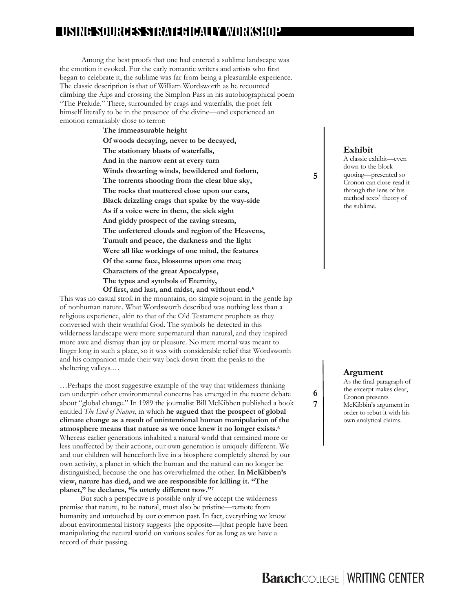**[NAME] WORKSHOP** Among the best proofs that one had entered a sublime landscape was the emotion it evoked. For the early romantic writers and artists who first began to celebrate it, the sublime was far from being a pleasurable experience. The classic description is that of William Wordsworth as he recounted climbing the Alps and crossing the Simplon Pass in his autobiographical poem "The Prelude." There, surrounded by crags and waterfalls, the poet felt himself literally to be in the presence of the divine—and experienced an emotion remarkably close to terror:

> **The immeasurable height Of woods decaying, never to be decayed, The stationary blasts of waterfalls, And in the narrow rent at every turn Winds thwarting winds, bewildered and forlorn, The torrents shooting from the clear blue sky, The rocks that muttered close upon our ears, Black drizzling crags that spake by the way-side As if a voice were in them, the sick sight And giddy prospect of the raving stream, The unfettered clouds and region of the Heavens, Tumult and peace, the darkness and the light Were all like workings of one mind, the features Of the same face, blossoms upon one tree; Characters of the great Apocalypse, The types and symbols of Eternity, Of first, and last, and midst, and without end.5**

This was no casual stroll in the mountains, no simple sojourn in the gentle lap of nonhuman nature. What Wordsworth described was nothing less than a religious experience, akin to that of the Old Testament prophets as they conversed with their wrathful God. The symbols he detected in this wilderness landscape were more supernatural than natural, and they inspired more awe and dismay than joy or pleasure. No mere mortal was meant to linger long in such a place, so it was with considerable relief that Wordsworth and his companion made their way back down from the peaks to the sheltering valleys.…

…Perhaps the most suggestive example of the way that wilderness thinking can underpin other environmental concerns has emerged in the recent debate about "global change." In 1989 the journalist Bill McKibben published a book entitled *The End of Nature*, in which **he argued that the prospect of global climate change as a result of unintentional human manipulation of the atmosphere means that nature as we once knew it no longer exists.6** Whereas earlier generations inhabited a natural world that remained more or less unaffected by their actions, our own generation is uniquely different. We and our children will henceforth live in a biosphere completely altered by our own activity, a planet in which the human and the natural can no longer be distinguished, because the one has overwhelmed the other. **In McKibben's view, nature has died, and we are responsible for killing it. "The planet," he declares, "is utterly different now."7**

But such a perspective is possible only if we accept the wilderness premise that nature, to be natural, must also be pristine—remote from humanity and untouched by our common past. In fact, everything we know about environmental history suggests [the opposite—]that people have been manipulating the natural world on various scales for as long as we have a record of their passing.

**Exhibit**

**5**

**6 7**

A classic exhibit—even down to the blockquoting—presented so Cronon can close-read it through the lens of his method texts' theory of the sublime.

#### **Argument**

As the final paragraph of the excerpt makes clear, Cronon presents McKibbin's argument in order to rebut it with his own analytical claims.